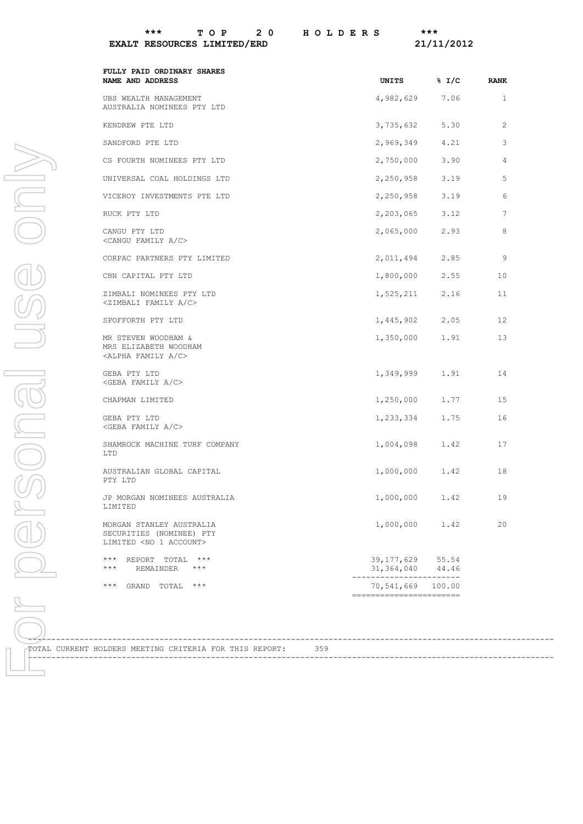## **EXALT RESOURCES LIMITED/ERD 21/11/2012**

|                                                                                           | UNITS                                                       | % 1/C | <b>RANK</b>  |
|-------------------------------------------------------------------------------------------|-------------------------------------------------------------|-------|--------------|
| UBS WEALTH MANAGEMENT<br>AUSTRALIA NOMINEES PTY LTD                                       | 4,982,629                                                   | 7.06  | $\mathbf{1}$ |
| KENDREW PTE LTD                                                                           | 3,735,632                                                   | 5.30  | 2            |
| SANDFORD PTE LTD                                                                          | 2,969,349                                                   | 4.21  | 3            |
| CS FOURTH NOMINEES PTY LTD                                                                | 2,750,000                                                   | 3.90  | 4            |
| UNIVERSAL COAL HOLDINGS LTD                                                               | 2,250,958                                                   | 3.19  | 5            |
| VICEROY INVESTMENTS PTE LTD                                                               | 2,250,958                                                   | 3.19  | 6            |
| RUCK PTY LTD                                                                              | 2,203,065                                                   | 3.12  | 7            |
| CANGU PTY LTD<br><cangu a="" c="" family=""></cangu>                                      | 2,065,000                                                   | 2.93  | 8            |
| CORPAC PARTNERS PTY LIMITED                                                               | 2,011,494                                                   | 2.85  | 9            |
| CBN CAPITAL PTY LTD                                                                       | 1,800,000                                                   | 2.55  | 10           |
| ZIMBALI NOMINEES PTY LTD<br><zimbali a="" c="" family=""></zimbali>                       | 1,525,211                                                   | 2.16  | 11           |
| SPOFFORTH PTY LTD                                                                         | 1,445,902                                                   | 2.05  | 12           |
| MR STEVEN WOODHAM &<br>MRS ELIZABETH WOODHAM<br><alpha a="" c="" family=""></alpha>       | 1,350,000                                                   | 1.91  | 13           |
| GEBA PTY LTD<br><geba a="" c="" family=""></geba>                                         | 1,349,999                                                   | 1.91  | 14           |
| CHAPMAN LIMITED                                                                           | 1,250,000                                                   | 1.77  | 15           |
| GEBA PTY LTD<br><geba a="" c="" family=""></geba>                                         | 1,233,334                                                   | 1.75  | 16           |
| SHAMROCK MACHINE TURF COMPANY<br>LTD                                                      | 1,004,098                                                   | 1.42  | 17           |
| AUSTRALIAN GLOBAL CAPITAL<br>PTY LTD                                                      | 1,000,000                                                   | 1.42  | 18           |
| JP MORGAN NOMINEES AUSTRALIA<br>LIMITED                                                   | 1,000,000                                                   | 1.42  | 19           |
| MORGAN STANLEY AUSTRALIA<br>SECURITIES (NOMINEE) PTY<br>LIMITED <no 1="" account=""></no> | 1,000,000                                                   | 1.42  | 20           |
| $***$<br>REPORT TOTAL ***                                                                 | 39,177,629<br>31, 364, 040 44.46<br>----------------------- | 55.54 |              |
| $\star\star\star$<br>REMAINDER<br>$***$                                                   |                                                             |       |              |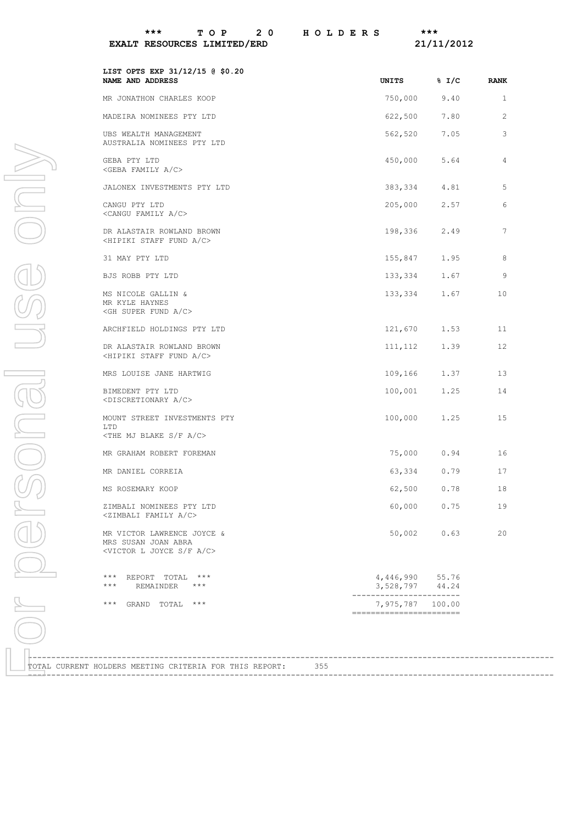## **EXALT RESOURCES LIMITED/ERD** 21/11/2012

| LIST OPTS EXP 31/12/15 @ \$0.20<br>NAME AND ADDRESS                                                      | UNITS                                 | % 1/C          | <b>RANK</b>  |  |
|----------------------------------------------------------------------------------------------------------|---------------------------------------|----------------|--------------|--|
| MR JONATHON CHARLES KOOP                                                                                 | 750,000                               | 9.40           | $\mathbf{1}$ |  |
| MADEIRA NOMINEES PTY LTD                                                                                 | 622,500                               | 7.80           | 2            |  |
| UBS WEALTH MANAGEMENT<br>AUSTRALIA NOMINEES PTY LTD                                                      | 562,520                               | 7.05           | 3            |  |
| GEBA PTY LTD<br><geba a="" c="" family=""></geba>                                                        | 450,000                               | 5.64           | 4            |  |
| JALONEX INVESTMENTS PTY LTD                                                                              | 383,334                               | 4.81           | 5            |  |
| CANGU PTY LTD<br><cangu a="" c="" family=""></cangu>                                                     | 205,000                               | 2.57           | 6            |  |
| DR ALASTAIR ROWLAND BROWN<br><hipiki a="" c="" fund="" staff=""></hipiki>                                | 198,336                               | 2.49           | 7            |  |
| 31 MAY PTY LTD                                                                                           | 155,847                               | 1.95           | 8            |  |
| BJS ROBB PTY LTD                                                                                         | 133,334                               | 1.67           | 9            |  |
| MS NICOLE GALLIN &<br>MR KYLE HAYNES<br><gh a="" c="" fund="" super=""></gh>                             | 133,334                               | 1.67           | 10           |  |
| ARCHFIELD HOLDINGS PTY LTD                                                                               | 121,670                               | 1.53           | 11           |  |
| DR ALASTAIR ROWLAND BROWN<br><hipiki a="" c="" fund="" staff=""></hipiki>                                | 111,112                               | 1.39           | 12           |  |
| MRS LOUISE JANE HARTWIG                                                                                  | 109,166                               | 1.37           | 13           |  |
| BIMEDENT PTY LTD<br><discretionary a="" c=""></discretionary>                                            | 100,001                               | 1.25           | 14           |  |
| MOUNT STREET INVESTMENTS PTY<br>LTD<br>$\langle$ THE MJ BLAKE S/F A/C>                                   | 100,000                               | 1.25           | 15           |  |
| MR GRAHAM ROBERT FOREMAN                                                                                 | 75,000                                | 0.94           | 16           |  |
| MR DANIEL CORREIA                                                                                        | 63,334                                | 0.79           | 17           |  |
| MS ROSEMARY KOOP                                                                                         | 62,500                                | 0.78           | 18           |  |
| ZIMBALI NOMINEES PTY LTD<br><zimbali a="" c="" family=""></zimbali>                                      | 60,000                                | 0.75           | 19           |  |
| MR VICTOR LAWRENCE JOYCE &<br>MRS SUSAN JOAN ABRA<br><victor a="" c="" f="" joyce="" l="" s=""></victor> | 50,002                                | 0.63           | 20           |  |
| $***$<br>REPORT TOTAL<br>$***$<br>$***$<br>REMAINDER<br>$***$                                            | 4,446,990<br>3,528,797                | 55.76<br>44.24 |              |  |
| $\star\star\star$<br>GRAND TOTAL<br>$***$                                                                | 7,975,787<br>------------------------ | 100.00         |              |  |
|                                                                                                          |                                       |                |              |  |
| TOTAL CURRENT HOLDERS MEETING CRITERIA FOR THIS REPORT:<br>355                                           |                                       |                |              |  |
|                                                                                                          |                                       |                |              |  |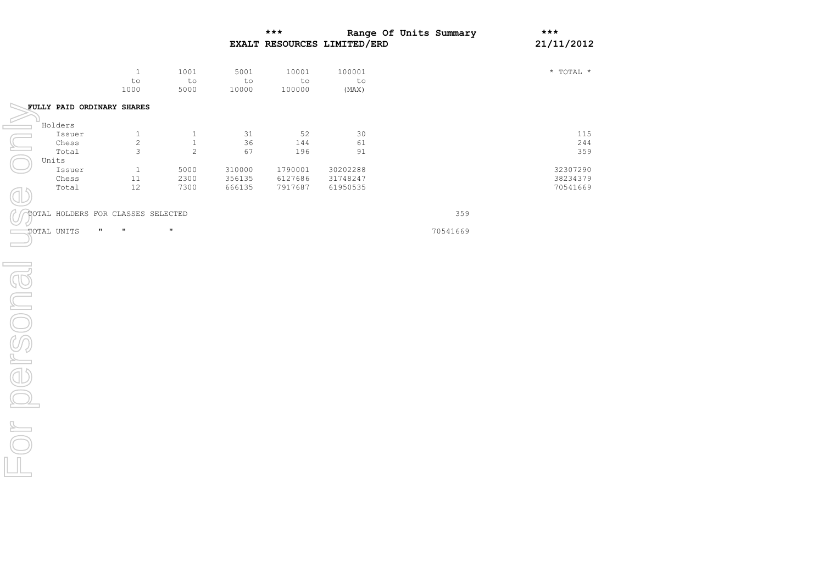|           |                                    |                                  |                               |                     | $***$                 | EXALT RESOURCES LIMITED/ERD | Range Of Units Summary | $***$<br>21/11/2012     |
|-----------|------------------------------------|----------------------------------|-------------------------------|---------------------|-----------------------|-----------------------------|------------------------|-------------------------|
|           |                                    | $\,1\,$<br>$\mathtt{to}$<br>1000 | 1001<br>$\texttt{to}$<br>5000 | 5001<br>to<br>10000 | 10001<br>to<br>100000 | 100001<br>to<br>(MAX)       |                        | $^\star$ TOTAL $^\star$ |
|           | FULLY PAID ORDINARY SHARES         |                                  |                               |                     |                       |                             |                        |                         |
|           | Holders                            |                                  |                               |                     |                       |                             |                        |                         |
|           | Issuer                             | $\mathbf{1}$                     | $\mathbf{1}$                  | 31                  | 52                    | 30                          |                        | 115                     |
|           | $\mathop{\mathrm{Ches}}\nolimits$  | $\sqrt{2}$                       | $\,1\,$                       | 36                  | 144                   | 61                          |                        | 244                     |
|           | Total                              | 3                                | $\mathbf{2}$                  | 67                  | 196                   | 91                          |                        | 359                     |
|           | Units                              |                                  |                               |                     |                       |                             |                        |                         |
|           | Issuer                             | $\mathbf{1}$                     | 5000                          | 310000              | 1790001               | 30202288                    |                        | 32307290                |
|           | $\mathop{\mathrm{Ches}}\nolimits$  | $1\,1$                           | 2300                          | 356135              | 6127686               | 31748247                    |                        | 38234379                |
|           | Total                              | $12\,$                           | 7300                          | 666135              | 7917687               | 61950535                    |                        | 70541669                |
|           |                                    |                                  |                               |                     |                       |                             |                        |                         |
|           | TOTAL HOLDERS FOR CLASSES SELECTED |                                  |                               |                     |                       |                             | 359                    |                         |
|           | TOTAL UNITS                        | $\pmb{\Pi}$<br>Ħ                 | $\pmb{\mathfrak{m}}$          |                     |                       |                             | 70541669               |                         |
|           |                                    |                                  |                               |                     |                       |                             |                        |                         |
|           |                                    |                                  |                               |                     |                       |                             |                        |                         |
| r persona |                                    |                                  |                               |                     |                       |                             |                        |                         |
|           |                                    |                                  |                               |                     |                       |                             |                        |                         |
|           |                                    |                                  |                               |                     |                       |                             |                        |                         |
|           |                                    |                                  |                               |                     |                       |                             |                        |                         |
|           |                                    |                                  |                               |                     |                       |                             |                        |                         |
|           |                                    |                                  |                               |                     |                       |                             |                        |                         |
|           |                                    |                                  |                               |                     |                       |                             |                        |                         |
|           |                                    |                                  |                               |                     |                       |                             |                        |                         |
|           |                                    |                                  |                               |                     |                       |                             |                        |                         |
|           |                                    |                                  |                               |                     |                       |                             |                        |                         |
|           |                                    |                                  |                               |                     |                       |                             |                        |                         |
|           |                                    |                                  |                               |                     |                       |                             |                        |                         |
|           |                                    |                                  |                               |                     |                       |                             |                        |                         |
|           |                                    |                                  |                               |                     |                       |                             |                        |                         |
|           |                                    |                                  |                               |                     |                       |                             |                        |                         |
|           |                                    |                                  |                               |                     |                       |                             |                        |                         |
|           |                                    |                                  |                               |                     |                       |                             |                        |                         |
|           |                                    |                                  |                               |                     |                       |                             |                        |                         |
|           |                                    |                                  |                               |                     |                       |                             |                        |                         |
|           |                                    |                                  |                               |                     |                       |                             |                        |                         |
|           |                                    |                                  |                               |                     |                       |                             |                        |                         |